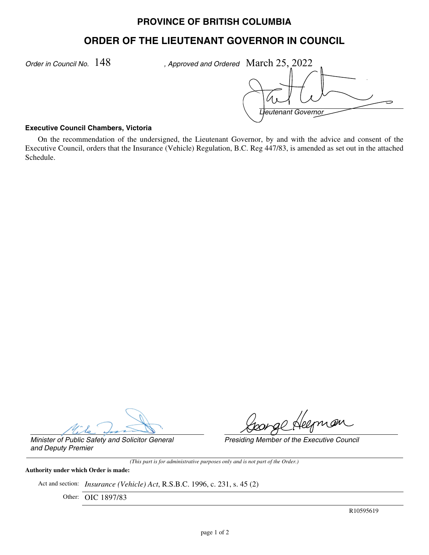# **PROVINCE OF BRITISH COLUMBIA**

# **ORDER OF THE LIEUTENANT GOVERNOR IN COUNCIL**

*Order in Council No.*  $148$  , Approved and Ordered March  $25,2022$ 

*Lieutenant Governor*

#### **Executive Council Chambers, Victoria**

On the recommendation of the undersigned, the Lieutenant Governor, by and with the advice and consent of the Executive Council, orders that the Insurance (Vehicle) Regulation, B.C. Reg 447/83, is amended as set out in the attached Schedule.

go Helman

*Presiding Member of the Executive Council*

*Minister of Public Safety and Solicitor General and Deputy Premier*

*(This part is for administrative purposes only and is not part of the Order.)*

#### **Authority under which Order is made:**

Act and section: *Insurance (Vehicle) Act*, R.S.B.C. 1996, c. 231, s. 45 (2)

Other: OIC 1897/83